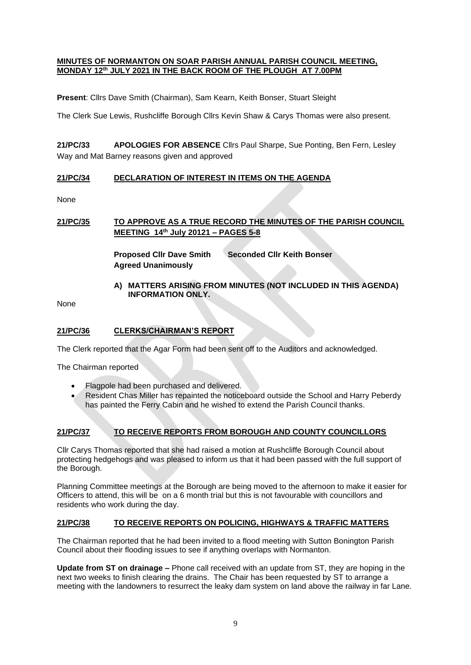#### **MINUTES OF NORMANTON ON SOAR PARISH ANNUAL PARISH COUNCIL MEETING, MONDAY 12th JULY 2021 IN THE BACK ROOM OF THE PLOUGH AT 7.00PM**

**Present**: Cllrs Dave Smith (Chairman), Sam Kearn, Keith Bonser, Stuart Sleight

The Clerk Sue Lewis, Rushcliffe Borough Cllrs Kevin Shaw & Carys Thomas were also present.

**21/PC/33 APOLOGIES FOR ABSENCE** Cllrs Paul Sharpe, Sue Ponting, Ben Fern, Lesley Way and Mat Barney reasons given and approved

# **21/PC/34 DECLARATION OF INTEREST IN ITEMS ON THE AGENDA**

None

**21/PC/35 TO APPROVE AS A TRUE RECORD THE MINUTES OF THE PARISH COUNCIL MEETING 14th July 20121 – PAGES 5-8**

> **Proposed Cllr Dave Smith Seconded Cllr Keith Bonser Agreed Unanimously**

**A) MATTERS ARISING FROM MINUTES (NOT INCLUDED IN THIS AGENDA) INFORMATION ONLY.**

None

## **21/PC/36 CLERKS/CHAIRMAN'S REPORT**

The Clerk reported that the Agar Form had been sent off to the Auditors and acknowledged.

The Chairman reported

- Flagpole had been purchased and delivered.
- Resident Chas Miller has repainted the noticeboard outside the School and Harry Peberdy has painted the Ferry Cabin and he wished to extend the Parish Council thanks.

### **21/PC/37 TO RECEIVE REPORTS FROM BOROUGH AND COUNTY COUNCILLORS**

Cllr Carys Thomas reported that she had raised a motion at Rushcliffe Borough Council about protecting hedgehogs and was pleased to inform us that it had been passed with the full support of the Borough.

Planning Committee meetings at the Borough are being moved to the afternoon to make it easier for Officers to attend, this will be on a 6 month trial but this is not favourable with councillors and residents who work during the day.

### **21/PC/38 TO RECEIVE REPORTS ON POLICING, HIGHWAYS & TRAFFIC MATTERS**

The Chairman reported that he had been invited to a flood meeting with Sutton Bonington Parish Council about their flooding issues to see if anything overlaps with Normanton.

**Update from ST on drainage –** Phone call received with an update from ST, they are hoping in the next two weeks to finish clearing the drains. The Chair has been requested by ST to arrange a meeting with the landowners to resurrect the leaky dam system on land above the railway in far Lane.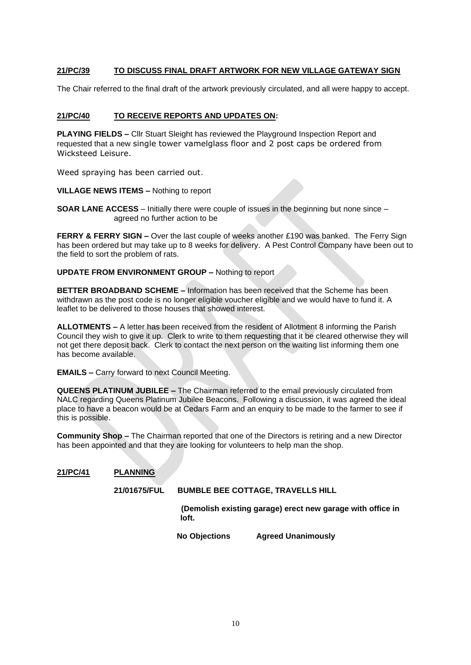# **21/PC/39 TO DISCUSS FINAL DRAFT ARTWORK FOR NEW VILLAGE GATEWAY SIGN**

The Chair referred to the final draft of the artwork previously circulated, and all were happy to accept.

### **21/PC/40 TO RECEIVE REPORTS AND UPDATES ON:**

**PLAYING FIELDS –** Cllr Stuart Sleight has reviewed the Playground Inspection Report and requested that a new single tower vamelglass floor and 2 post caps be ordered from Wicksteed Leisure.

Weed spraying has been carried out.

#### **VILLAGE NEWS ITEMS –** Nothing to report

**SOAR LANE ACCESS** – Initially there were couple of issues in the beginning but none since – agreed no further action to be

**FERRY & FERRY SIGN –** Over the last couple of weeks another £190 was banked. The Ferry Sign has been ordered but may take up to 8 weeks for delivery. A Pest Control Company have been out to the field to sort the problem of rats.

#### **UPDATE FROM ENVIRONMENT GROUP –** Nothing to report

**BETTER BROADBAND SCHEME –** Information has been received that the Scheme has been withdrawn as the post code is no longer eligible voucher eligible and we would have to fund it. A leaflet to be delivered to those houses that showed interest.

**ALLOTMENTS –** A letter has been received from the resident of Allotment 8 informing the Parish Council they wish to give it up. Clerk to write to them requesting that it be cleared otherwise they will not get there deposit back. Clerk to contact the next person on the waiting list informing them one has become available.

**EMAILS –** Carry forward to next Council Meeting.

**QUEENS PLATINUM JUBILEE –** The Chairman referred to the email previously circulated from NALC regarding Queens Platinum Jubilee Beacons. Following a discussion, it was agreed the ideal place to have a beacon would be at Cedars Farm and an enquiry to be made to the farmer to see if this is possible.

**Community Shop –** The Chairman reported that one of the Directors is retiring and a new Director has been appointed and that they are looking for volunteers to help man the shop.

### **21/PC/41 PLANNING**

**21/01675/FUL BUMBLE BEE COTTAGE, TRAVELLS HILL**

 **(Demolish existing garage) erect new garage with office in loft.**

**No Objections Agreed Unanimously**